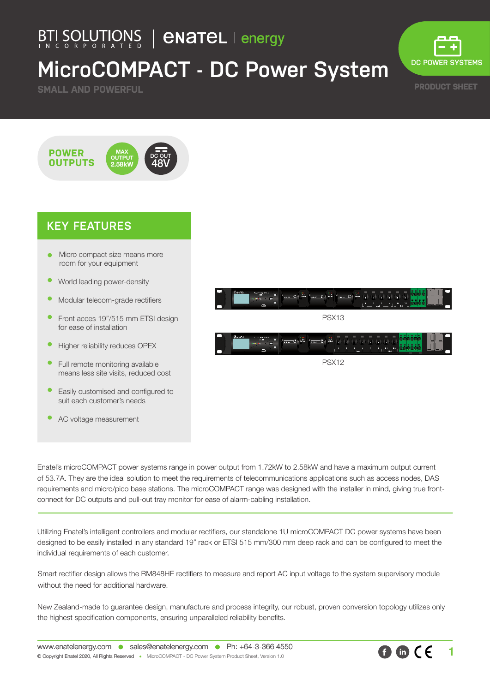## BTI SOLUTIONS | **ENATEL** | energy

# **MicroCOMPACT - DC Power System**

**SMALL AND POWERFUL**



**PRODUCT SHEET**

#### MAX **OUTPUT** 2.58kW **POWER OUTPUTS** DC OUT 48V

#### **KEY FEATURES**

- Micro compact size means more room for your equipment
- World leading power-density
- Modular telecom-grade rectifiers
- Front acces 19"/515 mm ETSI design for ease of installation
- Higher reliability reduces OPEX
- Full remote monitoring available means less site visits, reduced cost
- Easily customised and configured to suit each customer's needs
- AC voltage measurement





Enatel's microCOMPACT power systems range in power output from 1.72kW to 2.58kW and have a maximum output current of 53.7A. They are the ideal solution to meet the requirements of telecommunications applications such as access nodes, DAS requirements and micro/pico base stations. The microCOMPACT range was designed with the installer in mind, giving true frontconnect for DC outputs and pull-out tray monitor for ease of alarm-cabling installation.

Utilizing Enatel's intelligent controllers and modular rectifiers, our standalone 1U microCOMPACT DC power systems have been designed to be easily installed in any standard 19" rack or ETSI 515 mm/300 mm deep rack and can be configured to meet the individual requirements of each customer.

Smart rectifier design allows the RM848HE rectifiers to measure and report AC input voltage to the system supervisory module without the need for additional hardware.

New Zealand-made to guarantee design, manufacture and process integrity, our robust, proven conversion topology utilizes only the highest specification components, ensuring unparalleled reliability benefits.